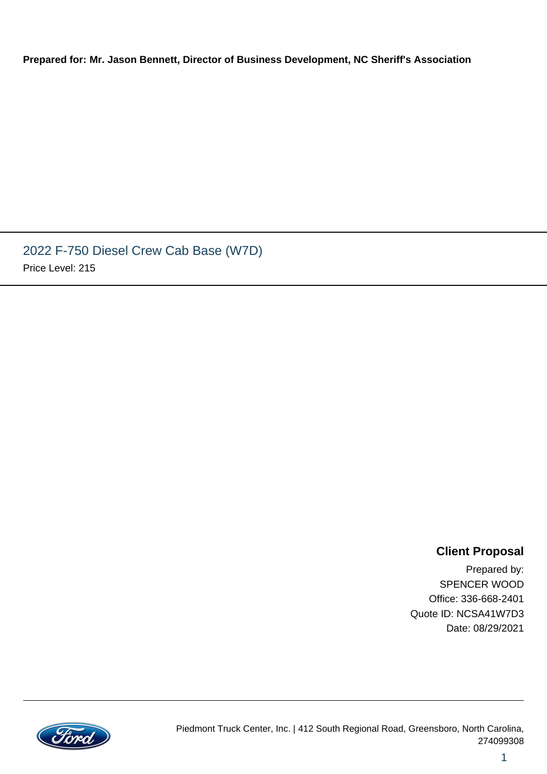**Prepared for: Mr. Jason Bennett, Director of Business Development, NC Sheriff's Association**

2022 F-750 Diesel Crew Cab Base (W7D) Price Level: 215

### **Client Proposal**

1

Prepared by: SPENCER WOOD Office: 336-668-2401 Quote ID: NCSA41W7D3 Date: 08/29/2021

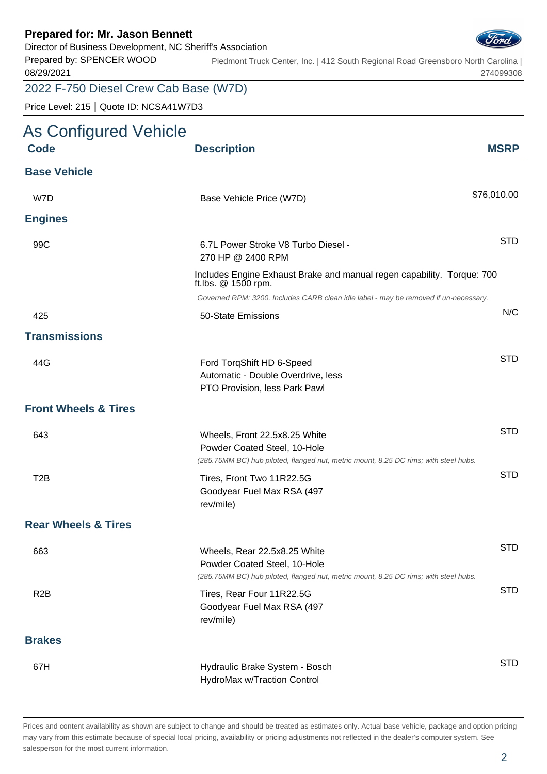Director of Business Development, NC Sheriff's Association



Prepared by: SPENCER WOOD 08/29/2021 Piedmont Truck Center, Inc. | 412 South Regional Road Greensboro North Carolina | 274099308

### 2022 F-750 Diesel Crew Cab Base (W7D)

Price Level: 215 | Quote ID: NCSA41W7D3

### As Configured Vehicle

| <b>Code</b>                     | <b>Description</b>                                                                                                                                    | <b>MSRP</b> |
|---------------------------------|-------------------------------------------------------------------------------------------------------------------------------------------------------|-------------|
| <b>Base Vehicle</b>             |                                                                                                                                                       |             |
| W7D                             | Base Vehicle Price (W7D)                                                                                                                              | \$76,010.00 |
| <b>Engines</b>                  |                                                                                                                                                       |             |
| 99C                             | 6.7L Power Stroke V8 Turbo Diesel -<br>270 HP @ 2400 RPM                                                                                              | <b>STD</b>  |
|                                 | Includes Engine Exhaust Brake and manual regen capability. Torque: 700<br>ft.lbs. $@$ 1500 rpm.                                                       |             |
|                                 | Governed RPM: 3200. Includes CARB clean idle label - may be removed if un-necessary.                                                                  |             |
| 425                             | 50-State Emissions                                                                                                                                    | N/C         |
| <b>Transmissions</b>            |                                                                                                                                                       |             |
| 44G                             | Ford TorqShift HD 6-Speed<br>Automatic - Double Overdrive, less<br>PTO Provision, less Park Pawl                                                      | <b>STD</b>  |
| <b>Front Wheels &amp; Tires</b> |                                                                                                                                                       |             |
| 643                             | Wheels, Front 22.5x8.25 White<br>Powder Coated Steel, 10-Hole<br>(285.75MM BC) hub piloted, flanged nut, metric mount, 8.25 DC rims; with steel hubs. | <b>STD</b>  |
| T <sub>2</sub> B                | Tires, Front Two 11R22.5G<br>Goodyear Fuel Max RSA (497<br>rev/mile)                                                                                  | <b>STD</b>  |
| <b>Rear Wheels &amp; Tires</b>  |                                                                                                                                                       |             |
| 663                             | Wheels, Rear 22.5x8.25 White<br>Powder Coated Steel, 10-Hole<br>(285.75MM BC) hub piloted, flanged nut, metric mount, 8.25 DC rims; with steel hubs.  | <b>STD</b>  |
| R <sub>2</sub> B                | Tires, Rear Four 11R22.5G<br>Goodyear Fuel Max RSA (497<br>rev/mile)                                                                                  | <b>STD</b>  |
| <b>Brakes</b>                   |                                                                                                                                                       |             |
| 67H                             | Hydraulic Brake System - Bosch<br>HydroMax w/Traction Control                                                                                         | <b>STD</b>  |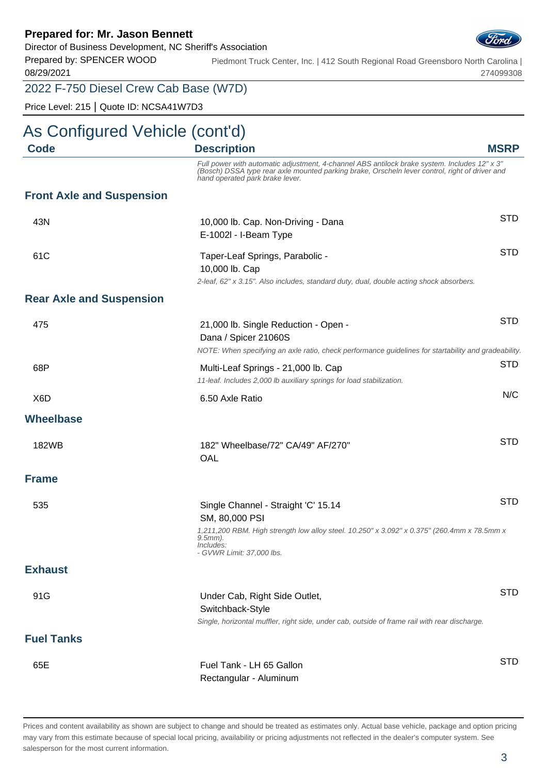Director of Business Development, NC Sheriff's Association

Prepared by: SPENCER WOOD 08/29/2021 Piedmont Truck Center, Inc. | 412 South Regional Road Greensboro North Carolina | 274099308

### 2022 F-750 Diesel Crew Cab Base (W7D)

Price Level: 215 | Quote ID: NCSA41W7D3

# As Configured Vehicle (cont'd)

| Code                             | <b>Description</b>                                                                                                                                                                                                                | <b>MSRP</b> |
|----------------------------------|-----------------------------------------------------------------------------------------------------------------------------------------------------------------------------------------------------------------------------------|-------------|
|                                  | Full power with automatic adjustment, 4-channel ABS antilock brake system. Includes 12" x 3"<br>(Bosch) DSSA type rear axle mounted parking brake, Orscheln lever control, right of driver and<br>hand operated park brake lever. |             |
| <b>Front Axle and Suspension</b> |                                                                                                                                                                                                                                   |             |
| 43N                              | 10,000 lb. Cap. Non-Driving - Dana<br>E-1002l - I-Beam Type                                                                                                                                                                       | <b>STD</b>  |
| 61C                              | Taper-Leaf Springs, Parabolic -<br>10,000 lb. Cap<br>2-leaf, 62" x 3.15". Also includes, standard duty, dual, double acting shock absorbers.                                                                                      | <b>STD</b>  |
| <b>Rear Axle and Suspension</b>  |                                                                                                                                                                                                                                   |             |
| 475                              | 21,000 lb. Single Reduction - Open -<br>Dana / Spicer 21060S<br>NOTE: When specifying an axle ratio, check performance guidelines for startability and gradeability.                                                              | <b>STD</b>  |
| 68P                              | Multi-Leaf Springs - 21,000 lb. Cap<br>11-leaf. Includes 2,000 lb auxiliary springs for load stabilization.                                                                                                                       | <b>STD</b>  |
| X <sub>6</sub> D                 | 6.50 Axle Ratio                                                                                                                                                                                                                   | N/C         |
| <b>Wheelbase</b>                 |                                                                                                                                                                                                                                   |             |
| 182WB                            | 182" Wheelbase/72" CA/49" AF/270"<br>OAL                                                                                                                                                                                          | <b>STD</b>  |
| <b>Frame</b>                     |                                                                                                                                                                                                                                   |             |
| 535                              | Single Channel - Straight 'C' 15.14<br>SM, 80,000 PSI                                                                                                                                                                             | <b>STD</b>  |
|                                  | 1,211,200 RBM. High strength low alloy steel. 10.250" x 3.092" x 0.375" (260.4mm x 78.5mm x<br>$9.5mm$ ).<br>Includes:<br>- GVWR Limit: 37,000 lbs.                                                                               |             |
| <b>Exhaust</b>                   |                                                                                                                                                                                                                                   |             |
| 91G                              | Under Cab, Right Side Outlet,<br>Switchback-Style<br>Single, horizontal muffler, right side, under cab, outside of frame rail with rear discharge.                                                                                | <b>STD</b>  |
| <b>Fuel Tanks</b>                |                                                                                                                                                                                                                                   |             |
| 65E                              | Fuel Tank - LH 65 Gallon<br>Rectangular - Aluminum                                                                                                                                                                                | <b>STD</b>  |

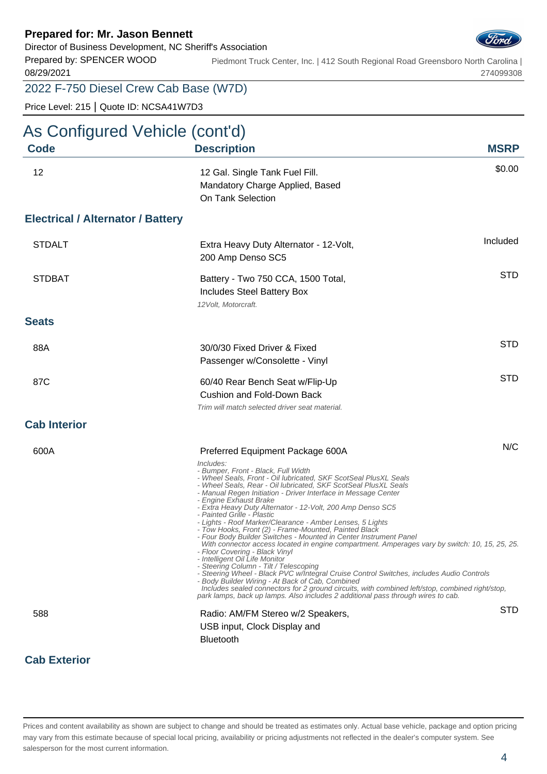Director of Business Development, NC Sheriff's Association

Prepared by: SPENCER WOOD 08/29/2021 Piedmont Truck Center, Inc. | 412 South Regional Road Greensboro North Carolina | 274099308

### 2022 F-750 Diesel Crew Cab Base (W7D)

Price Level: 215 | Quote ID: NCSA41W7D3

**Cab Exterior**

# As Configured Vehicle (cont'd)

| <b>Code</b>                              | <b>Description</b>                                                                                                                                                                                                                                                                                                                                                                                                                                                                                                                                                                                                                                                                                                                                                                                                                                                                                                                                                                                                                                                                                                                                                    | <b>MSRP</b> |
|------------------------------------------|-----------------------------------------------------------------------------------------------------------------------------------------------------------------------------------------------------------------------------------------------------------------------------------------------------------------------------------------------------------------------------------------------------------------------------------------------------------------------------------------------------------------------------------------------------------------------------------------------------------------------------------------------------------------------------------------------------------------------------------------------------------------------------------------------------------------------------------------------------------------------------------------------------------------------------------------------------------------------------------------------------------------------------------------------------------------------------------------------------------------------------------------------------------------------|-------------|
| 12                                       | 12 Gal. Single Tank Fuel Fill.<br>Mandatory Charge Applied, Based<br>On Tank Selection                                                                                                                                                                                                                                                                                                                                                                                                                                                                                                                                                                                                                                                                                                                                                                                                                                                                                                                                                                                                                                                                                | \$0.00      |
| <b>Electrical / Alternator / Battery</b> |                                                                                                                                                                                                                                                                                                                                                                                                                                                                                                                                                                                                                                                                                                                                                                                                                                                                                                                                                                                                                                                                                                                                                                       |             |
| <b>STDALT</b>                            | Extra Heavy Duty Alternator - 12-Volt,<br>200 Amp Denso SC5                                                                                                                                                                                                                                                                                                                                                                                                                                                                                                                                                                                                                                                                                                                                                                                                                                                                                                                                                                                                                                                                                                           | Included    |
| <b>STDBAT</b>                            | Battery - Two 750 CCA, 1500 Total,<br>Includes Steel Battery Box<br>12 Volt, Motorcraft.                                                                                                                                                                                                                                                                                                                                                                                                                                                                                                                                                                                                                                                                                                                                                                                                                                                                                                                                                                                                                                                                              | <b>STD</b>  |
| <b>Seats</b>                             |                                                                                                                                                                                                                                                                                                                                                                                                                                                                                                                                                                                                                                                                                                                                                                                                                                                                                                                                                                                                                                                                                                                                                                       |             |
| 88A                                      | 30/0/30 Fixed Driver & Fixed<br>Passenger w/Consolette - Vinyl                                                                                                                                                                                                                                                                                                                                                                                                                                                                                                                                                                                                                                                                                                                                                                                                                                                                                                                                                                                                                                                                                                        | <b>STD</b>  |
| 87C                                      | 60/40 Rear Bench Seat w/Flip-Up<br><b>Cushion and Fold-Down Back</b><br>Trim will match selected driver seat material.                                                                                                                                                                                                                                                                                                                                                                                                                                                                                                                                                                                                                                                                                                                                                                                                                                                                                                                                                                                                                                                | <b>STD</b>  |
| <b>Cab Interior</b>                      |                                                                                                                                                                                                                                                                                                                                                                                                                                                                                                                                                                                                                                                                                                                                                                                                                                                                                                                                                                                                                                                                                                                                                                       |             |
| 600A                                     | Preferred Equipment Package 600A<br>Includes:<br>- Bumper, Front - Black, Full Width<br>- Wheel Seals, Front - Oil lubricated, SKF ScotSeal PlusXL Seals<br>- Wheel Seals, Rear - Oil lubricated, SKF ScotSeal PlusXL Seals<br>- Manual Regen Initiation - Driver Interface in Message Center<br>- Engine Exhaust Brake<br>- Extra Heavy Duty Alternator - 12-Volt, 200 Amp Denso SC5<br>- Painted Grille - Plastic<br>- Lights - Roof Marker/Clearance - Amber Lenses, 5 Lights<br>- Tow Hooks, Front (2) - Frame-Mounted, Painted Black<br>- Four Body Builder Switches - Mounted in Center Instrument Panel<br>With connector access located in engine compartment. Amperages vary by switch: 10, 15, 25, 25.<br>- Floor Covering - Black Vinyl<br>- Intelligent Oil Life Monitor<br>- Steering Column - Tilt / Telescoping<br>- Steering Wheel - Black PVC w/Integral Cruise Control Switches, includes Audio Controls<br>- Body Builder Wiring - At Back of Cab, Combined<br>Includes sealed connectors for 2 ground circuits, with combined left/stop, combined right/stop,<br>park lamps, back up lamps. Also includes 2 additional pass through wires to cab. | N/C         |
| 588                                      | Radio: AM/FM Stereo w/2 Speakers,<br>USB input, Clock Display and<br><b>Bluetooth</b>                                                                                                                                                                                                                                                                                                                                                                                                                                                                                                                                                                                                                                                                                                                                                                                                                                                                                                                                                                                                                                                                                 | <b>STD</b>  |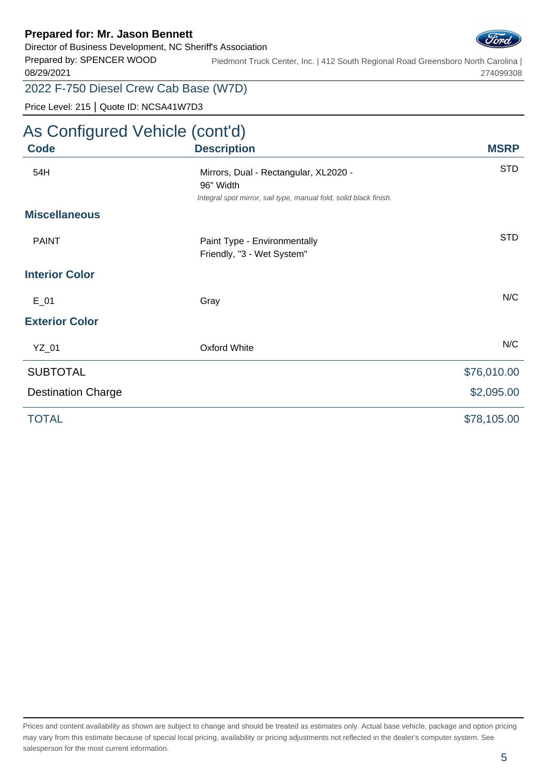Director of Business Development, NC Sheriff's Association



Prepared by: SPENCER WOOD 08/29/2021 Piedmont Truck Center, Inc. | 412 South Regional Road Greensboro North Carolina | 274099308

### 2022 F-750 Diesel Crew Cab Base (W7D)

Price Level: 215 | Quote ID: NCSA41W7D3

# As Configured Vehicle (cont'd)

| <b>Code</b>               | <b>Description</b>                                                                                                      | <b>MSRP</b> |
|---------------------------|-------------------------------------------------------------------------------------------------------------------------|-------------|
| 54H                       | Mirrors, Dual - Rectangular, XL2020 -<br>96" Width<br>Integral spot mirror, sail type, manual fold, solid black finish. | <b>STD</b>  |
| <b>Miscellaneous</b>      |                                                                                                                         |             |
| <b>PAINT</b>              | Paint Type - Environmentally<br>Friendly, "3 - Wet System"                                                              | <b>STD</b>  |
| <b>Interior Color</b>     |                                                                                                                         |             |
| $E_0$ 1                   | Gray                                                                                                                    | N/C         |
| <b>Exterior Color</b>     |                                                                                                                         |             |
| YZ_01                     | <b>Oxford White</b>                                                                                                     | N/C         |
| <b>SUBTOTAL</b>           |                                                                                                                         | \$76,010.00 |
| <b>Destination Charge</b> |                                                                                                                         | \$2,095.00  |
| <b>TOTAL</b>              |                                                                                                                         | \$78,105.00 |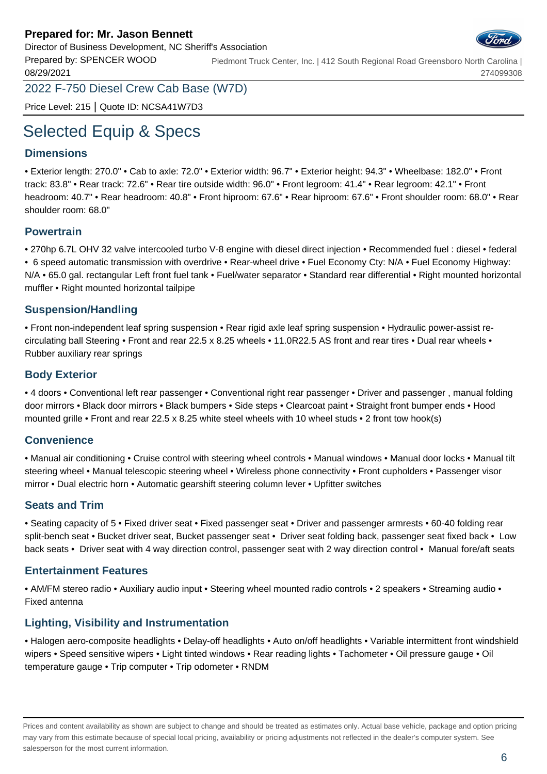Director of Business Development, NC Sheriff's Association

Prepared by: SPENCER WOOD 08/29/2021 Piedmont Truck Center, Inc. | 412 South Regional Road Greensboro North Carolina | 274099308

2022 F-750 Diesel Crew Cab Base (W7D)

Price Level: 215 | Quote ID: NCSA41W7D3

# Selected Equip & Specs

#### **Dimensions**

• Exterior length: 270.0" • Cab to axle: 72.0" • Exterior width: 96.7" • Exterior height: 94.3" • Wheelbase: 182.0" • Front track: 83.8" • Rear track: 72.6" • Rear tire outside width: 96.0" • Front legroom: 41.4" • Rear legroom: 42.1" • Front headroom: 40.7" • Rear headroom: 40.8" • Front hiproom: 67.6" • Rear hiproom: 67.6" • Front shoulder room: 68.0" • Rear shoulder room: 68.0"

#### **Powertrain**

• 270hp 6.7L OHV 32 valve intercooled turbo V-8 engine with diesel direct injection • Recommended fuel : diesel • federal • 6 speed automatic transmission with overdrive • Rear-wheel drive • Fuel Economy Cty: N/A • Fuel Economy Highway: N/A • 65.0 gal. rectangular Left front fuel tank • Fuel/water separator • Standard rear differential • Right mounted horizontal muffler • Right mounted horizontal tailpipe

#### **Suspension/Handling**

• Front non-independent leaf spring suspension • Rear rigid axle leaf spring suspension • Hydraulic power-assist recirculating ball Steering • Front and rear 22.5 x 8.25 wheels • 11.0R22.5 AS front and rear tires • Dual rear wheels • Rubber auxiliary rear springs

#### **Body Exterior**

• 4 doors • Conventional left rear passenger • Conventional right rear passenger • Driver and passenger , manual folding door mirrors • Black door mirrors • Black bumpers • Side steps • Clearcoat paint • Straight front bumper ends • Hood mounted grille • Front and rear 22.5 x 8.25 white steel wheels with 10 wheel studs • 2 front tow hook(s)

#### **Convenience**

• Manual air conditioning • Cruise control with steering wheel controls • Manual windows • Manual door locks • Manual tilt steering wheel • Manual telescopic steering wheel • Wireless phone connectivity • Front cupholders • Passenger visor mirror • Dual electric horn • Automatic gearshift steering column lever • Upfitter switches

#### **Seats and Trim**

• Seating capacity of 5 • Fixed driver seat • Fixed passenger seat • Driver and passenger armrests • 60-40 folding rear split-bench seat • Bucket driver seat, Bucket passenger seat • Driver seat folding back, passenger seat fixed back • Low back seats • Driver seat with 4 way direction control, passenger seat with 2 way direction control • Manual fore/aft seats

#### **Entertainment Features**

• AM/FM stereo radio • Auxiliary audio input • Steering wheel mounted radio controls • 2 speakers • Streaming audio • Fixed antenna

#### **Lighting, Visibility and Instrumentation**

• Halogen aero-composite headlights • Delay-off headlights • Auto on/off headlights • Variable intermittent front windshield wipers • Speed sensitive wipers • Light tinted windows • Rear reading lights • Tachometer • Oil pressure gauge • Oil temperature gauge • Trip computer • Trip odometer • RNDM

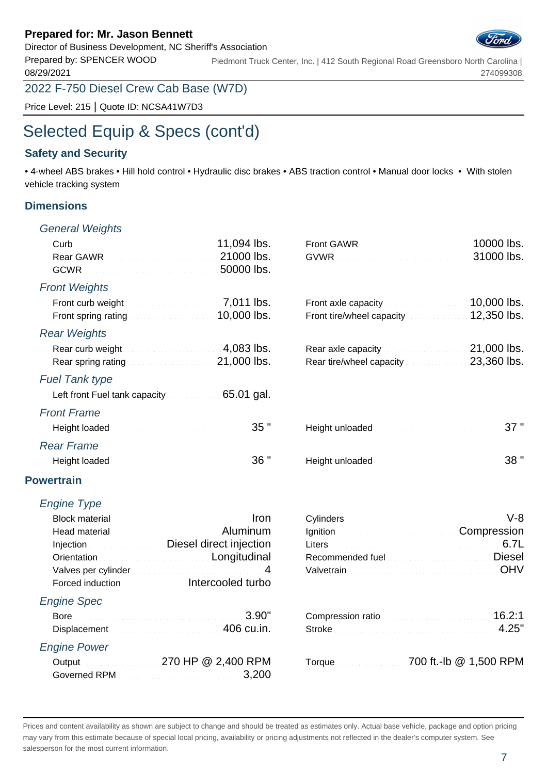Director of Business Development, NC Sheriff's Association

Prepared by: SPENCER WOOD 08/29/2021 Piedmont Truck Center, Inc. | 412 South Regional Road Greensboro North Carolina | 274099308

2022 F-750 Diesel Crew Cab Base (W7D)

Price Level: 215 | Quote ID: NCSA41W7D3

# Selected Equip & Specs (cont'd)

### **Safety and Security**

• 4-wheel ABS brakes • Hill hold control • Hydraulic disc brakes • ABS traction control • Manual door locks • With stolen vehicle tracking system

#### **Dimensions**

#### General Weights

| <b>Front Weights</b>                                                                                                                                                                                                                                                                          |                                                                                                                                   | 10,000 lbs.     |
|-----------------------------------------------------------------------------------------------------------------------------------------------------------------------------------------------------------------------------------------------------------------------------------------------|-----------------------------------------------------------------------------------------------------------------------------------|-----------------|
| Front spring rating <b>Exercise 2008</b> Loss 2009 Loss 2010 2010 2011 2012 2013                                                                                                                                                                                                              |                                                                                                                                   |                 |
| <b>Rear Weights</b>                                                                                                                                                                                                                                                                           |                                                                                                                                   |                 |
| Rear curb weight <b>Rear curb</b> weight <b>Rear curb</b> weight<br>Rear spring rating <b>Constitution Constructs</b> 21,000 lbs.                                                                                                                                                             | Rear axle capacity and all all all 21,000 lbs.<br>Rear tire/wheel capacity 23,360 lbs.                                            |                 |
| <b>Fuel Tank type</b>                                                                                                                                                                                                                                                                         |                                                                                                                                   |                 |
| Left front Fuel tank capacity 65.01 gal.                                                                                                                                                                                                                                                      |                                                                                                                                   |                 |
| <b>Front Frame</b>                                                                                                                                                                                                                                                                            |                                                                                                                                   |                 |
| 35 "                                                                                                                                                                                                                                                                                          |                                                                                                                                   | 37"             |
| <b>Rear Frame</b>                                                                                                                                                                                                                                                                             |                                                                                                                                   |                 |
| Height loaded Material Account 2004 36 "                                                                                                                                                                                                                                                      |                                                                                                                                   | 38 "            |
| <b>Powertrain</b>                                                                                                                                                                                                                                                                             |                                                                                                                                   |                 |
| <b>Engine Type</b>                                                                                                                                                                                                                                                                            |                                                                                                                                   |                 |
| Iron<br>Block material manufacture and continuous and continuous<br>Head material entrancement and all all Aluminum<br>Injection <b>Manufation</b> Diesel direct injection<br>Orientation <b>Constitution Constitution Constitution</b><br>Forced induction <b>Exercise Intercooled turbo</b> | Ignition Compression<br>Recommended fuel Manuscript Manuscript Diesel<br>Valvetrain Material Account of the United States and DHV | $V-8$<br>6.7L   |
| <b>Engine Spec</b>                                                                                                                                                                                                                                                                            |                                                                                                                                   |                 |
| 3.90"<br>Displacement 2000 and 2000 and 2000 and 2000 cu.in.                                                                                                                                                                                                                                  | Compression ratio                                                                                                                 | 16.2:1<br>4.25" |
| <b>Engine Power</b>                                                                                                                                                                                                                                                                           |                                                                                                                                   |                 |
| Output 270 HP @ 2,400 RPM<br>3,200                                                                                                                                                                                                                                                            | Torque 700 ft.-lb @ 1,500 RPM                                                                                                     |                 |
|                                                                                                                                                                                                                                                                                               |                                                                                                                                   |                 |

Prices and content availability as shown are subject to change and should be treated as estimates only. Actual base vehicle, package and option pricing

may vary from this estimate because of special local pricing, availability or pricing adjustments not reflected in the dealer's computer system. See salesperson for the most current information.

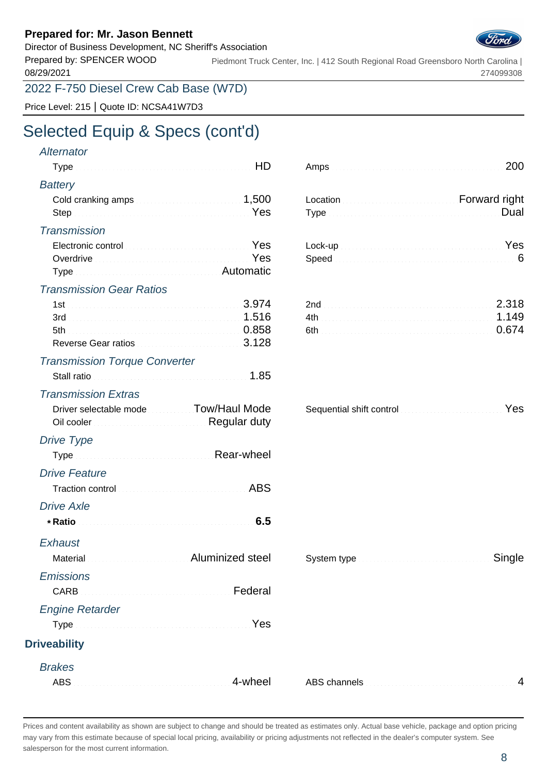Director of Business Development, NC Sheriff's Association

Prepared by: SPENCER WOOD 08/29/2021 Piedmont Truck Center, Inc. | 412 South Regional Road Greensboro North Carolina | 274099308

2022 F-750 Diesel Crew Cab Base (W7D)

Price Level: 215 | Quote ID: NCSA41W7D3

# Selected Equip & Specs (cont'd)

### **Alternator** Type HD Amps 200 **Battery** Cold cranking amps 1,500 Location Forward rights and Forward rights and rights and  $1,500$ Step explores the Nesterland Type of Type  $\overline{y}$ **Transmission** Electronic control Communication Control Yes Overdrive **Yes** Type **Automatic Automatic** Transmission Gear Ratios 1st 3.974 3rd 1.516 5th 0.858 6th 0.674 Reverse Gear ratios **3.128** Transmission Torque Converter Stall ratio **1.85** Transmission Extras Driver selectable mode The Tow/Haul Mode Sequential shift control Communication Control Nes Oil cooler Regular during a state of Drive Type Type Rear-Wheeler and account of Drive Feature Traction control ABS and ABS Drive Axle **\* Ratio 6.5 Exhaust** Material Material Aluminized steel **Emissions** CARB Federal Engine Retarder Type Manual Communication of the Yes **Driveability**

**Brakes** 

| Tvne | <b>Dual</b> |
|------|-------------|

| Lock-up Nestern Communication of the Vest |  |  |  |  |  |  |  |  |  |  |  |  |
|-------------------------------------------|--|--|--|--|--|--|--|--|--|--|--|--|
|                                           |  |  |  |  |  |  |  |  |  |  |  |  |

| <u>soquomaa omit oomi on aastas aastas saaraa saaraa s</u><br><b>Regular duty</b> |  |
|-----------------------------------------------------------------------------------|--|
| Rear-wheel<br>a a a a a a a a a                                                   |  |
| ABS<br>.                                                                          |  |
|                                                                                   |  |
|                                                                                   |  |

| System type <b>Manual Accord Strategier Single</b> |  |
|----------------------------------------------------|--|
|----------------------------------------------------|--|

Prices and content availability as shown are subject to change and should be treated as estimates only. Actual base vehicle, package and option pricing may vary from this estimate because of special local pricing, availability or pricing adjustments not reflected in the dealer's computer system. See salesperson for the most current information.

ABS  $\mu$ , and  $\mu$  are  $\mu$  are  $\mu$  are  $\mu$  are  $\mu$  are  $\mu$  are  $\mu$  are  $\mu$  are  $\mu$  are  $\mu$  are  $\mu$  are  $\mu$  are  $\mu$  are  $\mu$  are  $\mu$  are  $\mu$  are  $\mu$  are  $\mu$  are  $\mu$  are  $\mu$  are  $\mu$  are  $\mu$  are  $\mu$  are

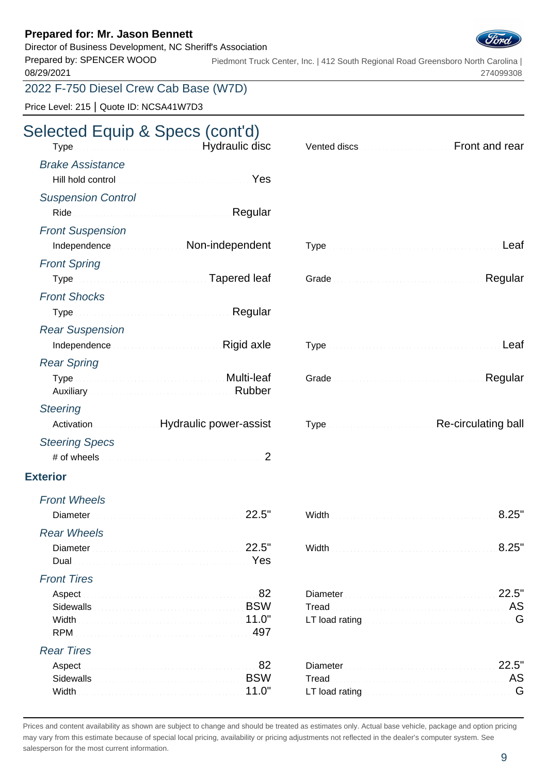Director of Business Development, NC Sheriff's Association

Prepared by: SPENCER WOOD 08/29/2021 Piedmont Truck Center, Inc. | 412 South Regional Road Greensboro North Carolina | 274099308

### 2022 F-750 Diesel Crew Cab Base (W7D)

Price Level: 215 | Quote ID: NCSA41W7D3

# Selected Equip & Specs (cont'd)

| Type continuous continuous control Hydraulic disc     | Vented discs <b>Committee Controllering Controllering Controllering Controllering Controllering Controllering Controllering Controllering Controllering Controllering Controllering Controllering Controllering Controllering Co</b> |
|-------------------------------------------------------|--------------------------------------------------------------------------------------------------------------------------------------------------------------------------------------------------------------------------------------|
| <b>Brake Assistance</b>                               |                                                                                                                                                                                                                                      |
| Yes                                                   |                                                                                                                                                                                                                                      |
| <b>Suspension Control</b>                             |                                                                                                                                                                                                                                      |
|                                                       |                                                                                                                                                                                                                                      |
| <b>Front Suspension</b>                               |                                                                                                                                                                                                                                      |
| Independence Material Mon-independent                 | Leaf                                                                                                                                                                                                                                 |
| <b>Front Spring</b>                                   |                                                                                                                                                                                                                                      |
| Type Manuscript Communication Tapered leaf            | Regular                                                                                                                                                                                                                              |
| <b>Front Shocks</b>                                   |                                                                                                                                                                                                                                      |
| Type Manuscript Account of Regular                    |                                                                                                                                                                                                                                      |
| <b>Rear Suspension</b>                                |                                                                                                                                                                                                                                      |
| Independence <b>Manual Community</b> Rigid axle       | Leaf                                                                                                                                                                                                                                 |
| <b>Rear Spring</b>                                    |                                                                                                                                                                                                                                      |
| Type Multi-leaf<br>Auxiliary <b>Auxiliary Rubber</b>  | Regular                                                                                                                                                                                                                              |
| <b>Steering</b>                                       |                                                                                                                                                                                                                                      |
| Activation Museum Hydraulic power-assist              | Type <b>Type Type Type Type Type Type Type Type Type Type Type Type Type Type Type Type Type Type Type Type Type Type Type Type Type Type Type Type Type Type Type</b>                                                               |
| <b>Steering Specs</b>                                 |                                                                                                                                                                                                                                      |
|                                                       |                                                                                                                                                                                                                                      |
| <b>Exterior</b>                                       |                                                                                                                                                                                                                                      |
| <b>Front Wheels</b>                                   |                                                                                                                                                                                                                                      |
| 22.5"<br>Diameter Manual Alexandre and Communications | 8.25"                                                                                                                                                                                                                                |
| <b>Rear Wheels</b>                                    |                                                                                                                                                                                                                                      |
| 22.5"                                                 | 8.25"                                                                                                                                                                                                                                |
| Yes<br>Dual                                           |                                                                                                                                                                                                                                      |
| <b>Front Tires</b>                                    |                                                                                                                                                                                                                                      |
| 82<br>Aspect                                          | 22.5"<br>Diameter                                                                                                                                                                                                                    |
| <b>BSW</b><br>Width                                   | Tread<br>G                                                                                                                                                                                                                           |
| 497<br><b>RPM</b>                                     |                                                                                                                                                                                                                                      |
| <b>Rear Tires</b>                                     |                                                                                                                                                                                                                                      |
| 82<br>Aspect                                          | 22.5"<br>Diameter                                                                                                                                                                                                                    |
| <b>BSW</b><br>11.0"                                   | Tread<br>LT load rating <b>Election Community Community</b> G                                                                                                                                                                        |
| Width                                                 |                                                                                                                                                                                                                                      |

| Type Design and Contract and Contract and Contract Leaf                                                        |
|----------------------------------------------------------------------------------------------------------------|
| Grade <b>Commission Commission Regular</b>                                                                     |
|                                                                                                                |
| Type Leaf                                                                                                      |
| Grade New York (2008) Stade (2008) Stade (2008) Stade (2008) Stade (2008) Stade (2008) Stade (2008) Stade (200 |
| Type <b>Manufacturers</b> Re-circulating ball                                                                  |
|                                                                                                                |
| 8.25"                                                                                                          |

| Width |  |  |  |  |  |  |  |
|-------|--|--|--|--|--|--|--|
|       |  |  |  |  |  |  |  |

| Tread <b>Exploration Contract Contract Contract Contract Contract Contract Contract Contract Contract Contract Contract Contract Contract Contract Contract Contract Contract Contract Contract Contract Contract Contract Contr</b> |  |
|--------------------------------------------------------------------------------------------------------------------------------------------------------------------------------------------------------------------------------------|--|
| LT load rating the community continuum and C                                                                                                                                                                                         |  |

| Diameter 22.5"                                         |  |
|--------------------------------------------------------|--|
| Tread <b>Material Community Community Community</b> AS |  |
|                                                        |  |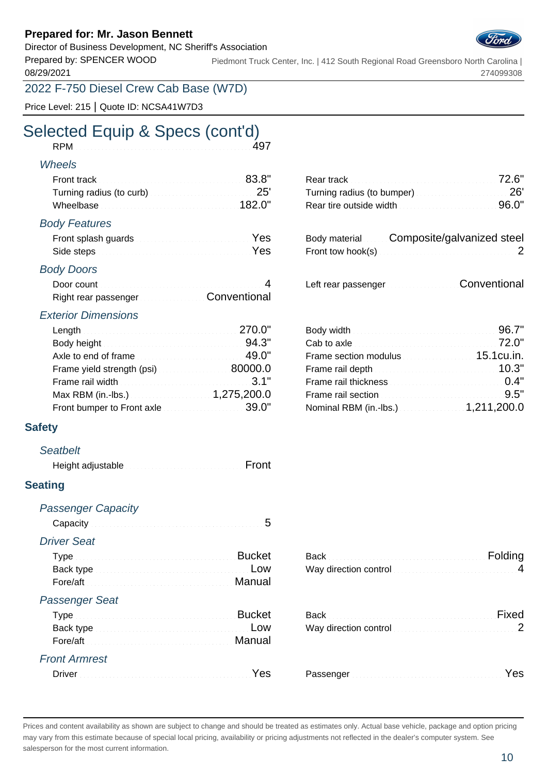Director of Business Development, NC Sheriff's Association

Prepared by: SPENCER WOOD 08/29/2021 Piedmont Truck Center, Inc. | 412 South Regional Road Greensboro North Carolina | 274099308

2022 F-750 Diesel Crew Cab Base (W7D)

Price Level: 215 | Quote ID: NCSA41W7D3

### Selected Equip & Specs (cont'd)<br>RPM<br>497 RPM

#### Wheels

| Front track <b>Executive Contract 2018</b> 83.8"                   |  |
|--------------------------------------------------------------------|--|
| Turning radius (to curb) Manuscript 25'                            |  |
| Wheelbase <b>Manual According to the United States and 182.0</b> " |  |

#### Body Features

| Side steps <b>Executive Contract Contract of Press</b> |  |
|--------------------------------------------------------|--|

#### Body Doors

| Door count           |              |
|----------------------|--------------|
| Right rear passenger | Conventional |

#### Exterior Dimensions

| Length 270.0"                                                                                                                                                                                                                        |                                                                                                                                                                                                                                      |  |
|--------------------------------------------------------------------------------------------------------------------------------------------------------------------------------------------------------------------------------------|--------------------------------------------------------------------------------------------------------------------------------------------------------------------------------------------------------------------------------------|--|
| Body height <b>Executive Contract Contract Contract Contract Contract Contract Contract Contract Contract Contract Contract Contract Contract Contract Contract Contract Contract Contract Contract Contract Contract Contract C</b> | Cab to axle <b>Cab to axle Cab to axle Cab to axle Cab to axle Cab to axle Cab to axle Cab to axle Cab to axle Cab to axle Cab to axle Cab to axle Cab to axle Cab to axle Cab to axle Cab to axle Cab to axle Cab to axle Cab t</b> |  |
| Axle to end of frame                                                                                                                                                                                                                 | Frame section modulus <b>Example 20</b> 15.1cu.in.                                                                                                                                                                                   |  |
| Frame yield strength (psi)                                                                                                                                                                                                           | Frame rail depth <b>Exercise Contract 200</b> 10.3"                                                                                                                                                                                  |  |
| Frame rail width <b>Exercise Contract Contract 2008</b> 3.1"                                                                                                                                                                         | Frame rail thickness <b>Community</b> 2.4"                                                                                                                                                                                           |  |
| Max RBM (in.-lbs.) 4,275,200.0                                                                                                                                                                                                       | Frame rail section <b>Example 2018</b> 2.5"                                                                                                                                                                                          |  |
| Front bumper to Front axle <b>Exercise 200</b> 29.0"                                                                                                                                                                                 | Nominal RBM (in.-lbs.) 4,211,200.0                                                                                                                                                                                                   |  |

#### **Safety**

#### **Seatbelt**

| Height adjustable <b>Expansion Community</b> Front |  |
|----------------------------------------------------|--|
|----------------------------------------------------|--|

#### **Seating**

| <b>Passenger Capacity</b>                    | 5                                                                                                                                |
|----------------------------------------------|----------------------------------------------------------------------------------------------------------------------------------|
| <b>Driver Seat</b>                           | <b>Bucket</b><br>Low                                                                                                             |
| Fore/aft<br><b>Passenger Seat</b>            | Manual Manual Albert (1988) (1989) (1989) (1989) (1989) (1989) (1989) (1989) (1989) (1989) (1989) (1989) (1989)<br><b>Bucket</b> |
|                                              | l ow                                                                                                                             |
| <b>Front Armrest</b><br>Driver <b>Driver</b> |                                                                                                                                  |

|                                                          | Rear track <b>Executive Contract 2008</b> 22.6"                                                         |  |
|----------------------------------------------------------|---------------------------------------------------------------------------------------------------------|--|
|                                                          | Turning radius (to bumper) Manuscription 26'                                                            |  |
|                                                          | Rear tire outside width <b>Exercise Accepts</b> 26.0"                                                   |  |
| dy Features                                              |                                                                                                         |  |
| Front splash guards <b>Constitution Constitution</b> Yes | Body material Composite/galvanized steel                                                                |  |
|                                                          | Front tow hook(s) $\ldots$ . $\ldots$ . $\ldots$ . $\ldots$ . $\ldots$ . $\ldots$ . $\ldots$ . $\ldots$ |  |
| $div$ Dooro                                              |                                                                                                         |  |

Left rear passenger Conventional

|                                                       | Body width <b>Election Contract Contract of South America</b> SO .7"                                                                                                                                                                |  |
|-------------------------------------------------------|-------------------------------------------------------------------------------------------------------------------------------------------------------------------------------------------------------------------------------------|--|
|                                                       | Cab to axle <b>Exercise 2008</b> 22.0"                                                                                                                                                                                              |  |
| Axle to end of frame and the state of the 49.0"       | Frame section modulus <b>Example 20</b> 15.1cu.in.                                                                                                                                                                                  |  |
| Frame yield strength (psi) $\ldots$ $\ldots$ 80000.0  | Frame rail depth <b>Exercise 2018</b> 10.3"                                                                                                                                                                                         |  |
| Frame rail width <b>Exercises</b> 2.1"                | Frame rail thickness <b>Community</b> C.4"                                                                                                                                                                                          |  |
|                                                       | Frame rail section <b>Example 2018</b> 2019 11:00 12:00 12:00 12:00 12:00 12:00 12:00 12:00 12:00 12:00 12:00 12:00 12:00 12:00 12:00 12:00 12:00 12:00 12:00 12:00 12:00 12:00 12:00 12:00 12:00 12:00 12:00 12:00 12:00 12:00 12: |  |
| Front bumper to Front axle <b>Exercise 2010</b> 39.0" | Nominal RBM (in.-lbs.) 1,211,200.0                                                                                                                                                                                                  |  |

|                    |        | Way direction control measure the control of 4 |       |
|--------------------|--------|------------------------------------------------|-------|
|                    | Manual |                                                |       |
| ssenger Seat       |        |                                                |       |
|                    |        |                                                | Fixed |
|                    |        | Way direction control manufactured and 2       |       |
|                    | Manual |                                                |       |
| <b>ont Armrest</b> |        |                                                |       |
|                    |        |                                                | Yes   |

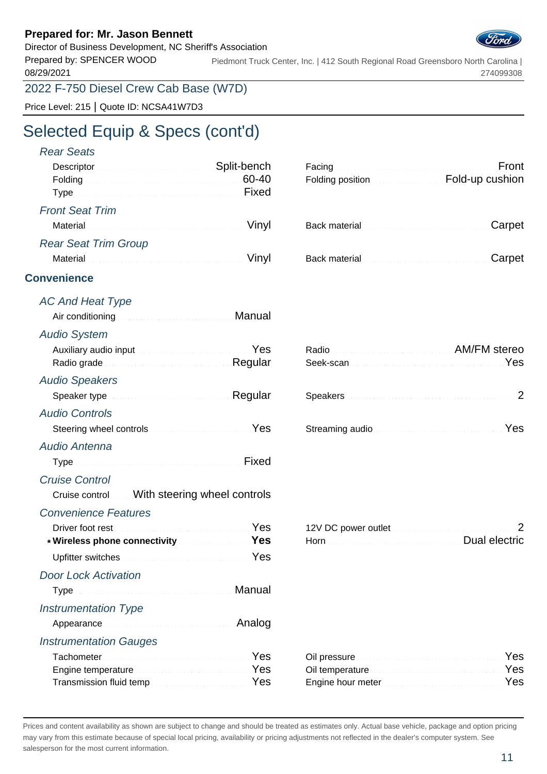Director of Business Development, NC Sheriff's Association

Prepared by: SPENCER WOOD 08/29/2021 Piedmont Truck Center, Inc. | 412 South Regional Road Greensboro North Carolina | 274099308

Price Level: 215 | Quote ID: NCSA41W7D3

# Selected Equip & Specs (cont'd)

| <b>Rear Seats</b>                                                                                                                                                      |                                                                       |
|------------------------------------------------------------------------------------------------------------------------------------------------------------------------|-----------------------------------------------------------------------|
| Descriptor Manual Communication Split-bench                                                                                                                            | Front                                                                 |
| Folding <b>60-40</b>                                                                                                                                                   | Folding position <b>Example 2016</b> Fold-up cushion                  |
| <b>Front Seat Trim</b>                                                                                                                                                 |                                                                       |
| Vinyl                                                                                                                                                                  | Carpet                                                                |
| <b>Rear Seat Trim Group</b>                                                                                                                                            |                                                                       |
| Vinyl                                                                                                                                                                  | Carpet                                                                |
| <b>Convenience</b>                                                                                                                                                     |                                                                       |
| <b>AC And Heat Type</b>                                                                                                                                                |                                                                       |
| Manual<br>Air conditioning <b>Air Conditioning</b>                                                                                                                     |                                                                       |
| <b>Audio System</b>                                                                                                                                                    |                                                                       |
| Auxiliary audio input March March 1999 March 1999                                                                                                                      | Radio Radio Radio Radio Reference all AM/FM stereo                    |
| Radio grade <b>Material Contract Contract Regular</b>                                                                                                                  | Yes                                                                   |
| <b>Audio Speakers</b>                                                                                                                                                  |                                                                       |
| Speaker type <b>Speaker</b> type <b>Speaker</b> type <b>Speaker</b> type <b>Speaker</b> type <b>Speaker</b> type <b>Speaker</b>                                        |                                                                       |
| <b>Audio Controls</b>                                                                                                                                                  |                                                                       |
| Steering wheel controls <b>Steering</b> Wes                                                                                                                            | Streaming audio <b>Streaming and Streaming Audio Action</b>           |
| <b>Audio Antenna</b>                                                                                                                                                   |                                                                       |
|                                                                                                                                                                        |                                                                       |
| <b>Cruise Control</b>                                                                                                                                                  |                                                                       |
| Cruise control  With steering wheel controls                                                                                                                           |                                                                       |
| <b>Convenience Features</b>                                                                                                                                            |                                                                       |
| Driver foot rest <b>Executive Contract Contract Private Private Private Private Private Private Private Private Pr</b><br>* Wireless phone connectivity Manuscript Mes | 2<br>Horn <b>Manual Account Account Account Account Dual electric</b> |
| Upfitter switches Material Communication of Pes                                                                                                                        |                                                                       |
| <b>Door Lock Activation</b>                                                                                                                                            |                                                                       |
| Manual                                                                                                                                                                 |                                                                       |
| <b>Instrumentation Type</b>                                                                                                                                            |                                                                       |
| Analog                                                                                                                                                                 |                                                                       |
| <b>Instrumentation Gauges</b>                                                                                                                                          |                                                                       |
| Yes                                                                                                                                                                    | Yes                                                                   |
| Yes<br>Engine temperature                                                                                                                                              | Yes                                                                   |

| Engine temperature www.communications. Yes | Oil temperature <b>Committee Committee Committee Committee</b> |  |
|--------------------------------------------|----------------------------------------------------------------|--|
|                                            | Engine hour meter <b>Example 20</b> Section 1995               |  |

| Oil temperature <b>Constitution Communication</b> Yes |  |
|-------------------------------------------------------|--|
|                                                       |  |

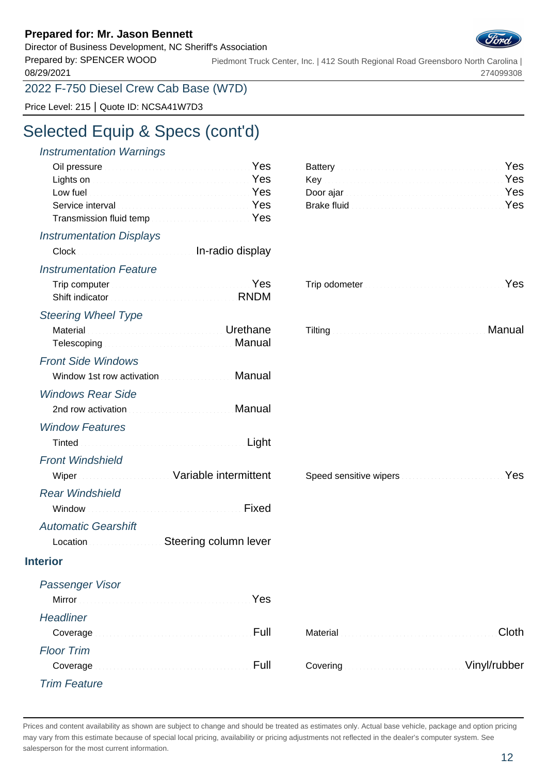Director of Business Development, NC Sheriff's Association

Prepared by: SPENCER WOOD 08/29/2021 Piedmont Truck Center, Inc. | 412 South Regional Road Greensboro North Carolina | 274099308

2022 F-750 Diesel Crew Cab Base (W7D)

Price Level: 215 | Quote ID: NCSA41W7D3

### Selected Equip & Specs (cont'd)

| Yes                                                                                     |
|-----------------------------------------------------------------------------------------|
|                                                                                         |
|                                                                                         |
| Yes                                                                                     |
|                                                                                         |
|                                                                                         |
|                                                                                         |
| Yes                                                                                     |
|                                                                                         |
|                                                                                         |
| Manual                                                                                  |
|                                                                                         |
|                                                                                         |
|                                                                                         |
|                                                                                         |
|                                                                                         |
|                                                                                         |
|                                                                                         |
|                                                                                         |
| Speed sensitive wipers <b>Speed Sensitive West Speed Sensitive West Speed Sensitive</b> |
|                                                                                         |
|                                                                                         |
|                                                                                         |
|                                                                                         |

Location **Steering column lever** 

Mirror New Yes

Coverage **Euler Material Clother Clother Clother Clother Clother Clother Clother Clother Clother Clother Clother** 

| Battery <b>Executive Committee Committee Committee Committee Committee Committee Committee Committee Committee Committee Committee Committee Committee Committee Committee Committee Committee Committee Committee Committee Com</b> |  |
|--------------------------------------------------------------------------------------------------------------------------------------------------------------------------------------------------------------------------------------|--|
|                                                                                                                                                                                                                                      |  |
|                                                                                                                                                                                                                                      |  |
| Brake fluid <b>Commission Commission Commission</b> Yes                                                                                                                                                                              |  |

| <b>Manual Manual Commission of Manual Administration of Manual Administration of Manual Administration of Manual </b><br>Tilting |  |
|----------------------------------------------------------------------------------------------------------------------------------|--|
|----------------------------------------------------------------------------------------------------------------------------------|--|

|  |  | Material <u>Cloth</u> |  |
|--|--|-----------------------|--|
|  |  |                       |  |
|  |  |                       |  |

### Trim Feature

**Headliner** 

Floor Trim

Passenger Visor

**Interior**

Prices and content availability as shown are subject to change and should be treated as estimates only. Actual base vehicle, package and option pricing may vary from this estimate because of special local pricing, availability or pricing adjustments not reflected in the dealer's computer system. See salesperson for the most current information.

Coverage **Eulers Covering Covering Covering Covering Vinyl/rubber**